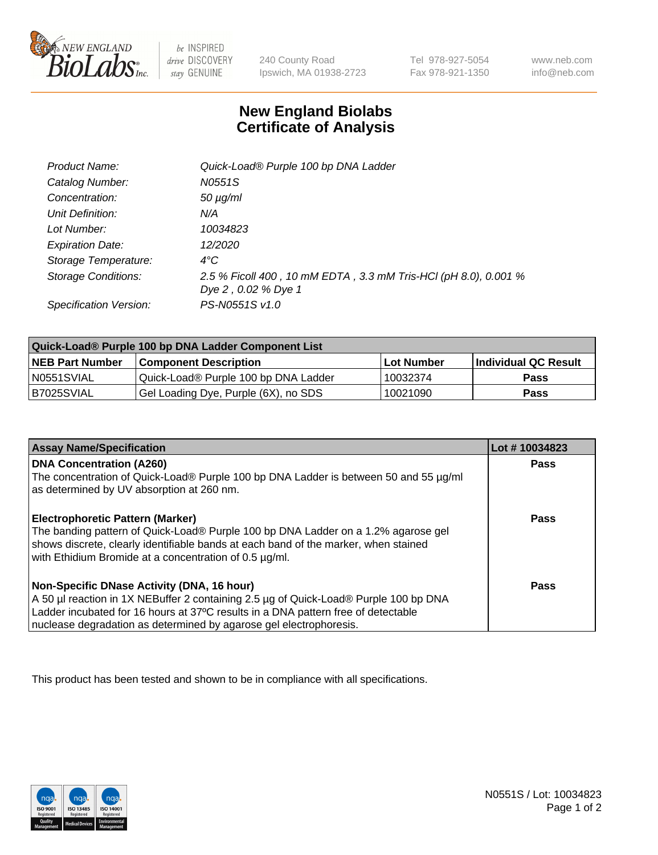

 $be$  INSPIRED drive DISCOVERY stay GENUINE

240 County Road Ipswich, MA 01938-2723 Tel 978-927-5054 Fax 978-921-1350

www.neb.com info@neb.com

## **New England Biolabs Certificate of Analysis**

| Product Name:              | Quick-Load® Purple 100 bp DNA Ladder                                                   |
|----------------------------|----------------------------------------------------------------------------------------|
| Catalog Number:            | N0551S                                                                                 |
| Concentration:             | $50 \mu g/ml$                                                                          |
| Unit Definition:           | N/A                                                                                    |
| Lot Number:                | 10034823                                                                               |
| <b>Expiration Date:</b>    | 12/2020                                                                                |
| Storage Temperature:       | $4^{\circ}C$                                                                           |
| <b>Storage Conditions:</b> | 2.5 % Ficoll 400, 10 mM EDTA, 3.3 mM Tris-HCl (pH 8.0), 0.001 %<br>Dye 2, 0.02 % Dye 1 |
| Specification Version:     | PS-N0551S v1.0                                                                         |
|                            |                                                                                        |

| Quick-Load® Purple 100 bp DNA Ladder Component List |                                      |                   |                      |  |
|-----------------------------------------------------|--------------------------------------|-------------------|----------------------|--|
| <b>NEB Part Number</b>                              | <b>Component Description</b>         | <b>Lot Number</b> | Individual QC Result |  |
| N0551SVIAL                                          | Quick-Load® Purple 100 bp DNA Ladder | 10032374          | <b>Pass</b>          |  |
| I B7025SVIAL                                        | Gel Loading Dye, Purple (6X), no SDS | 10021090          | <b>Pass</b>          |  |

| <b>Assay Name/Specification</b>                                                                                                                                                                                                                                                               | Lot #10034823 |
|-----------------------------------------------------------------------------------------------------------------------------------------------------------------------------------------------------------------------------------------------------------------------------------------------|---------------|
| <b>DNA Concentration (A260)</b><br>The concentration of Quick-Load® Purple 100 bp DNA Ladder is between 50 and 55 µg/ml<br>as determined by UV absorption at 260 nm.                                                                                                                          | <b>Pass</b>   |
| <b>Electrophoretic Pattern (Marker)</b><br>The banding pattern of Quick-Load® Purple 100 bp DNA Ladder on a 1.2% agarose gel<br>shows discrete, clearly identifiable bands at each band of the marker, when stained<br>with Ethidium Bromide at a concentration of 0.5 µg/ml.                 | <b>Pass</b>   |
| Non-Specific DNase Activity (DNA, 16 hour)<br>A 50 µl reaction in 1X NEBuffer 2 containing 2.5 µg of Quick-Load® Purple 100 bp DNA<br>Ladder incubated for 16 hours at 37°C results in a DNA pattern free of detectable<br>nuclease degradation as determined by agarose gel electrophoresis. | Pass          |

This product has been tested and shown to be in compliance with all specifications.